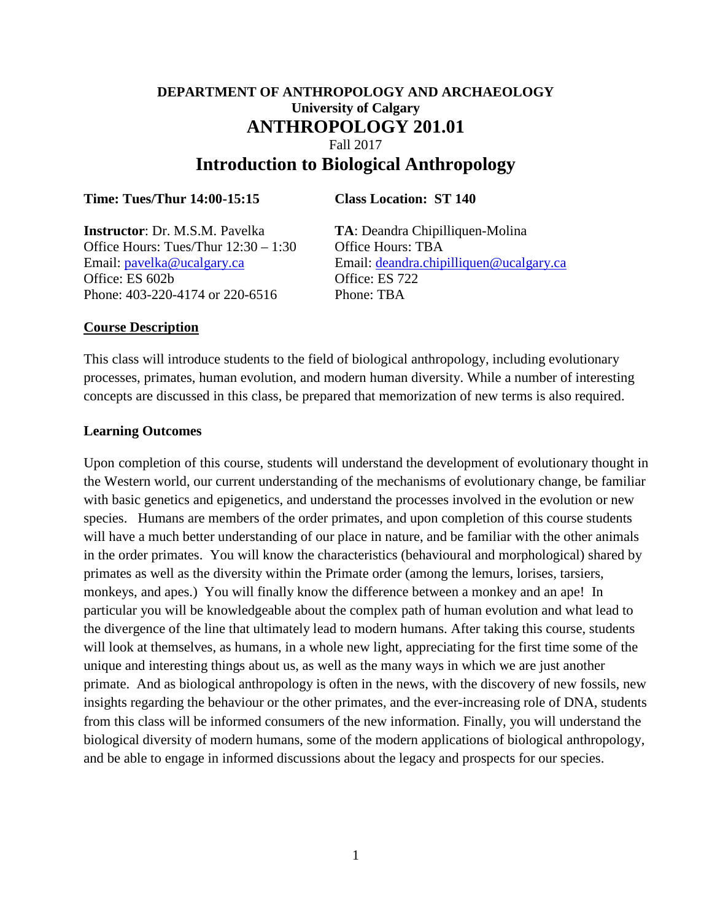# **DEPARTMENT OF ANTHROPOLOGY AND ARCHAEOLOGY University of Calgary ANTHROPOLOGY 201.01** Fall 2017 **Introduction to Biological Anthropology**

#### **Time: Tues/Thur 14:00-15:15 Class Location: ST 140**

**Instructor**: Dr. M.S.M. Pavelka **TA**: Deandra Chipilliquen-Molina Office Hours: Tues/Thur  $12:30 - 1:30$  Office Hours: TBA Office: ES 602b Office: ES 722 Phone: 403-220-4174 or 220-6516 Phone: TBA

Email: [pavelka@ucalgary.ca](mailto:pavelka@ucalgary.ca) Email: [deandra.chipilliquen@ucalgary.ca](mailto:deandra.chipilliquen@ucalgary.ca)

#### **Course Description**

This class will introduce students to the field of biological anthropology, including evolutionary processes, primates, human evolution, and modern human diversity. While a number of interesting concepts are discussed in this class, be prepared that memorization of new terms is also required.

#### **Learning Outcomes**

Upon completion of this course, students will understand the development of evolutionary thought in the Western world, our current understanding of the mechanisms of evolutionary change, be familiar with basic genetics and epigenetics, and understand the processes involved in the evolution or new species. Humans are members of the order primates, and upon completion of this course students will have a much better understanding of our place in nature, and be familiar with the other animals in the order primates. You will know the characteristics (behavioural and morphological) shared by primates as well as the diversity within the Primate order (among the lemurs, lorises, tarsiers, monkeys, and apes.) You will finally know the difference between a monkey and an ape! In particular you will be knowledgeable about the complex path of human evolution and what lead to the divergence of the line that ultimately lead to modern humans. After taking this course, students will look at themselves, as humans, in a whole new light, appreciating for the first time some of the unique and interesting things about us, as well as the many ways in which we are just another primate. And as biological anthropology is often in the news, with the discovery of new fossils, new insights regarding the behaviour or the other primates, and the ever-increasing role of DNA, students from this class will be informed consumers of the new information. Finally, you will understand the biological diversity of modern humans, some of the modern applications of biological anthropology, and be able to engage in informed discussions about the legacy and prospects for our species.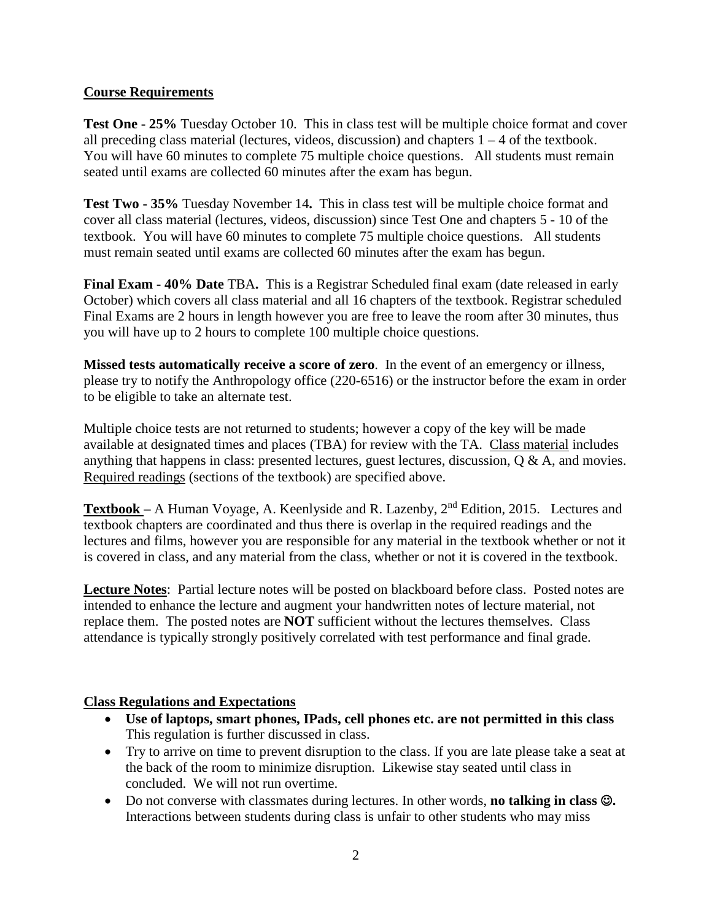## **Course Requirements**

**Test One - 25%** Tuesday October 10. This in class test will be multiple choice format and cover all preceding class material (lectures, videos, discussion) and chapters  $1 - 4$  of the textbook. You will have 60 minutes to complete 75 multiple choice questions. All students must remain seated until exams are collected 60 minutes after the exam has begun.

**Test Two - 35%** Tuesday November 14**.** This in class test will be multiple choice format and cover all class material (lectures, videos, discussion) since Test One and chapters 5 - 10 of the textbook. You will have 60 minutes to complete 75 multiple choice questions. All students must remain seated until exams are collected 60 minutes after the exam has begun.

**Final Exam - 40% Date** TBA**.** This is a Registrar Scheduled final exam (date released in early October) which covers all class material and all 16 chapters of the textbook. Registrar scheduled Final Exams are 2 hours in length however you are free to leave the room after 30 minutes, thus you will have up to 2 hours to complete 100 multiple choice questions.

**Missed tests automatically receive a score of zero**. In the event of an emergency or illness, please try to notify the Anthropology office (220-6516) or the instructor before the exam in order to be eligible to take an alternate test.

Multiple choice tests are not returned to students; however a copy of the key will be made available at designated times and places (TBA) for review with the TA. Class material includes anything that happens in class: presented lectures, guest lectures, discussion, Q & A, and movies. Required readings (sections of the textbook) are specified above.

**Textbook –** A Human Voyage, A. Keenlyside and R. Lazenby, 2nd Edition, 2015. Lectures and textbook chapters are coordinated and thus there is overlap in the required readings and the lectures and films, however you are responsible for any material in the textbook whether or not it is covered in class, and any material from the class, whether or not it is covered in the textbook.

**Lecture Notes**: Partial lecture notes will be posted on blackboard before class. Posted notes are intended to enhance the lecture and augment your handwritten notes of lecture material, not replace them. The posted notes are **NOT** sufficient without the lectures themselves. Class attendance is typically strongly positively correlated with test performance and final grade.

# **Class Regulations and Expectations**

- **Use of laptops, smart phones, IPads, cell phones etc. are not permitted in this class** This regulation is further discussed in class.
- Try to arrive on time to prevent disruption to the class. If you are late please take a seat at the back of the room to minimize disruption. Likewise stay seated until class in concluded. We will not run overtime.
- Do not converse with classmates during lectures. In other words, **no talking in class .** Interactions between students during class is unfair to other students who may miss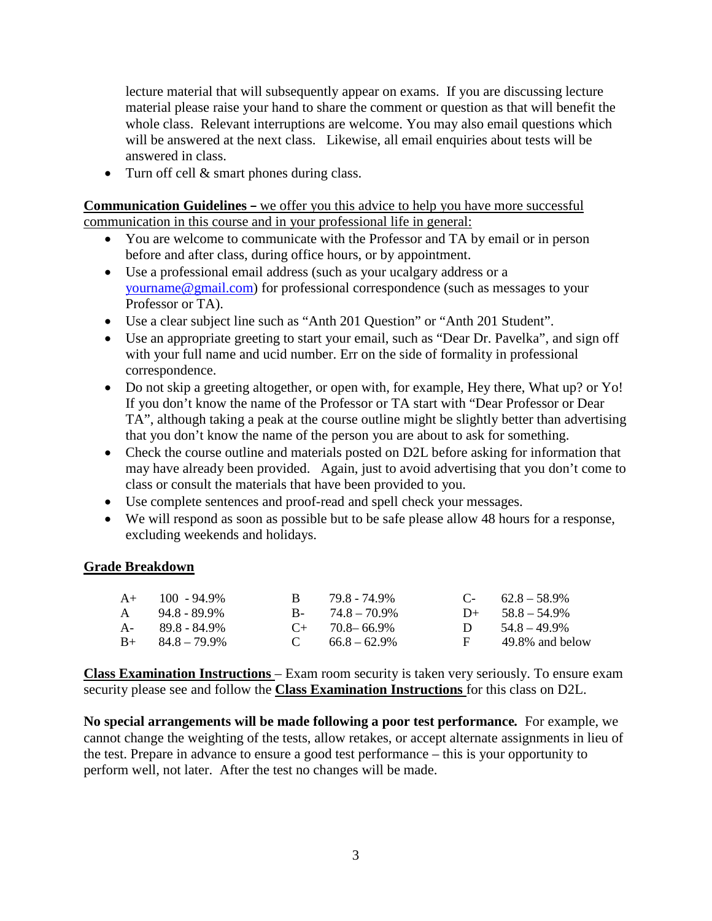lecture material that will subsequently appear on exams. If you are discussing lecture material please raise your hand to share the comment or question as that will benefit the whole class. Relevant interruptions are welcome. You may also email questions which will be answered at the next class. Likewise, all email enquiries about tests will be answered in class.

• Turn off cell & smart phones during class.

**Communication Guidelines –** we offer you this advice to help you have more successful communication in this course and in your professional life in general:

- You are welcome to communicate with the Professor and TA by email or in person before and after class, during office hours, or by appointment.
- Use a professional email address (such as your ucalgary address or a [yourname@gmail.com\)](mailto:yourname@gmail.com) for professional correspondence (such as messages to your Professor or TA).
- Use a clear subject line such as "Anth 201 Question" or "Anth 201 Student".
- Use an appropriate greeting to start your email, such as "Dear Dr. Pavelka", and sign off with your full name and ucid number. Err on the side of formality in professional correspondence.
- Do not skip a greeting altogether, or open with, for example, Hey there, What up? or Yo! If you don't know the name of the Professor or TA start with "Dear Professor or Dear TA", although taking a peak at the course outline might be slightly better than advertising that you don't know the name of the person you are about to ask for something.
- Check the course outline and materials posted on D2L before asking for information that may have already been provided. Again, just to avoid advertising that you don't come to class or consult the materials that have been provided to you.
- Use complete sentences and proof-read and spell check your messages.
- We will respond as soon as possible but to be safe please allow 48 hours for a response, excluding weekends and holidays.

#### **Grade Breakdown**

| $A+$ 100 - 94.9%        |              | 79.8 - 74.9%         |              | $C-$ 62.8 – 58.9%  |
|-------------------------|--------------|----------------------|--------------|--------------------|
| $A = 94.8 - 89.9\%$     |              | $B - 74.8 - 70.9\%$  |              | $D+ 58.8 - 54.9\%$ |
| A- 89.8 - 84.9%         |              | $C_{+}$ 70.8 – 66.9% | $\mathbf{D}$ | $54.8 - 49.9\%$    |
| $B_{+}$ $84.8 - 79.9\%$ | $\mathbf{C}$ | $66.8 - 62.9\%$      | F.           | 49.8% and below    |

**Class Examination Instructions** – Exam room security is taken very seriously. To ensure exam security please see and follow the **Class Examination Instructions** for this class on D2L.

**No special arrangements will be made following a poor test performance***.* For example, we cannot change the weighting of the tests, allow retakes, or accept alternate assignments in lieu of the test. Prepare in advance to ensure a good test performance – this is your opportunity to perform well, not later. After the test no changes will be made.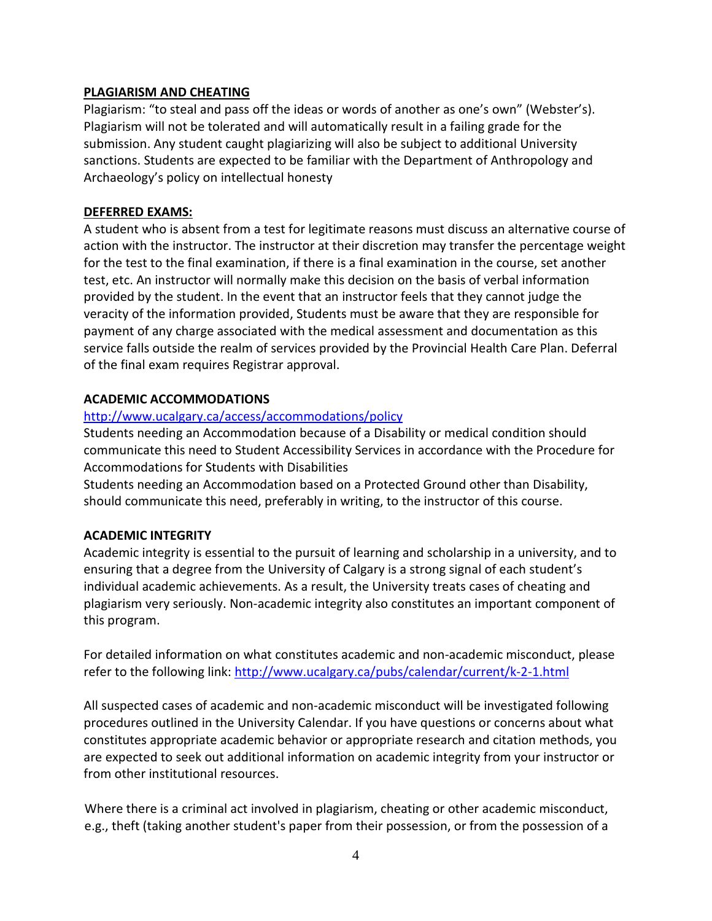#### **PLAGIARISM AND CHEATING**

Plagiarism: "to steal and pass off the ideas or words of another as one's own" (Webster's). Plagiarism will not be tolerated and will automatically result in a failing grade for the submission. Any student caught plagiarizing will also be subject to additional University sanctions. Students are expected to be familiar with the Department of Anthropology and Archaeology's policy on intellectual honesty

## **DEFERRED EXAMS:**

A student who is absent from a test for legitimate reasons must discuss an alternative course of action with the instructor. The instructor at their discretion may transfer the percentage weight for the test to the final examination, if there is a final examination in the course, set another test, etc. An instructor will normally make this decision on the basis of verbal information provided by the student. In the event that an instructor feels that they cannot judge the veracity of the information provided, Students must be aware that they are responsible for payment of any charge associated with the medical assessment and documentation as this service falls outside the realm of services provided by the Provincial Health Care Plan. Deferral of the final exam requires Registrar approval.

# **ACADEMIC ACCOMMODATIONS**

# <http://www.ucalgary.ca/access/accommodations/policy>

Students needing an Accommodation because of a Disability or medical condition should communicate this need to Student Accessibility Services in accordance with the Procedure for Accommodations for Students with Disabilities

Students needing an Accommodation based on a Protected Ground other than Disability, should communicate this need, preferably in writing, to the instructor of this course.

# **ACADEMIC INTEGRITY**

Academic integrity is essential to the pursuit of learning and scholarship in a university, and to ensuring that a degree from the University of Calgary is a strong signal of each student's individual academic achievements. As a result, the University treats cases of cheating and plagiarism very seriously. Non-academic integrity also constitutes an important component of this program.

For detailed information on what constitutes academic and non-academic misconduct, please refer to the following link:<http://www.ucalgary.ca/pubs/calendar/current/k-2-1.html>

All suspected cases of academic and non-academic misconduct will be investigated following procedures outlined in the University Calendar. If you have questions or concerns about what constitutes appropriate academic behavior or appropriate research and citation methods, you are expected to seek out additional information on academic integrity from your instructor or from other institutional resources.

Where there is a criminal act involved in plagiarism, cheating or other academic misconduct, e.g., theft (taking another student's paper from their possession, or from the possession of a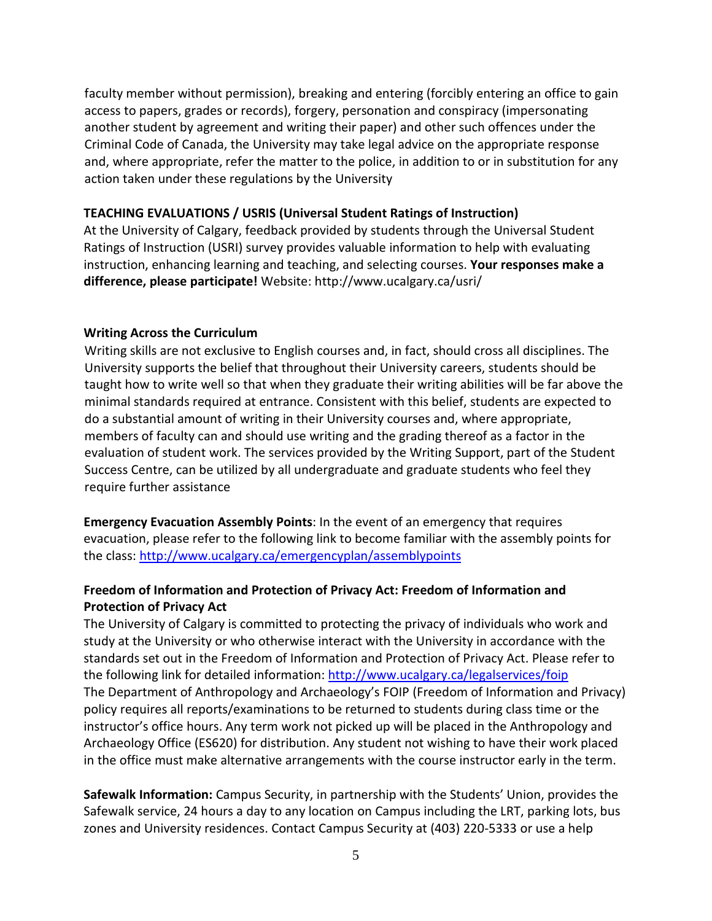faculty member without permission), breaking and entering (forcibly entering an office to gain access to papers, grades or records), forgery, personation and conspiracy (impersonating another student by agreement and writing their paper) and other such offences under the Criminal Code of Canada, the University may take legal advice on the appropriate response and, where appropriate, refer the matter to the police, in addition to or in substitution for any action taken under these regulations by the University

#### **TEACHING EVALUATIONS / USRIS (Universal Student Ratings of Instruction)**

At the University of Calgary, feedback provided by students through the Universal Student Ratings of Instruction (USRI) survey provides valuable information to help with evaluating instruction, enhancing learning and teaching, and selecting courses. **Your responses make a difference, please participate!** Website: http://www.ucalgary.ca/usri/

#### **Writing Across the Curriculum**

Writing skills are not exclusive to English courses and, in fact, should cross all disciplines. The University supports the belief that throughout their University careers, students should be taught how to write well so that when they graduate their writing abilities will be far above the minimal standards required at entrance. Consistent with this belief, students are expected to do a substantial amount of writing in their University courses and, where appropriate, members of faculty can and should use writing and the grading thereof as a factor in the evaluation of student work. The services provided by the Writing Support, part of the Student Success Centre, can be utilized by all undergraduate and graduate students who feel they require further assistance

**Emergency Evacuation Assembly Points**: In the event of an emergency that requires evacuation, please refer to the following link to become familiar with the assembly points for the class:<http://www.ucalgary.ca/emergencyplan/assemblypoints>

## **Freedom of Information and Protection of Privacy Act: Freedom of Information and Protection of Privacy Act**

The University of Calgary is committed to protecting the privacy of individuals who work and study at the University or who otherwise interact with the University in accordance with the standards set out in the Freedom of Information and Protection of Privacy Act. Please refer to the following link for detailed information:<http://www.ucalgary.ca/legalservices/foip> The Department of Anthropology and Archaeology's FOIP (Freedom of Information and Privacy) policy requires all reports/examinations to be returned to students during class time or the instructor's office hours. Any term work not picked up will be placed in the Anthropology and Archaeology Office (ES620) for distribution. Any student not wishing to have their work placed in the office must make alternative arrangements with the course instructor early in the term.

**Safewalk Information:** Campus Security, in partnership with the Students' Union, provides the Safewalk service, 24 hours a day to any location on Campus including the LRT, parking lots, bus zones and University residences. Contact Campus Security at (403) 220-5333 or use a help